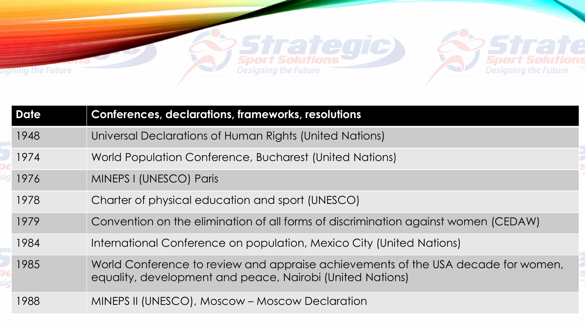

|  | <b>Date</b> | <b>Conferences, declarations, frameworks, resolutions</b>                                                                                      |
|--|-------------|------------------------------------------------------------------------------------------------------------------------------------------------|
|  | 1948        | Universal Declarations of Human Rights (United Nations)                                                                                        |
|  | 1974        | World Population Conference, Bucharest (United Nations)                                                                                        |
|  | 1976        | MINEPS I (UNESCO) Paris                                                                                                                        |
|  | 1978        | Charter of physical education and sport (UNESCO)                                                                                               |
|  | 1979        | Convention on the elimination of all forms of discrimination against women (CEDAW)                                                             |
|  | 1984        | International Conference on population, Mexico City (United Nations)                                                                           |
|  | 1985        | World Conference to review and appraise achievements of the USA decade for women,<br>equality, development and peace, Nairobi (United Nations) |
|  | 1988        | MINEPS II (UNESCO), Moscow – Moscow Declaration                                                                                                |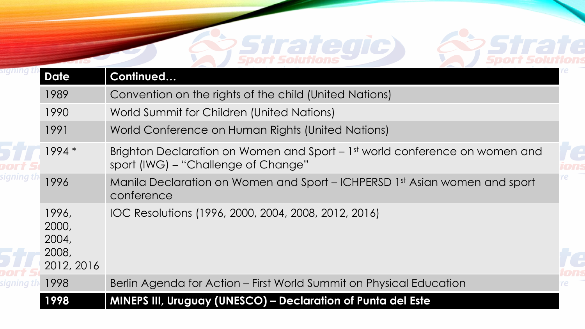# **Strategic**

**Strate**<br>Sport Solutions

| <b>Date</b>                                    | Continued                                                                                                          |  |
|------------------------------------------------|--------------------------------------------------------------------------------------------------------------------|--|
| 1989                                           | Convention on the rights of the child (United Nations)                                                             |  |
| 1990                                           | World Summit for Children (United Nations)                                                                         |  |
| 1991                                           | World Conference on Human Rights (United Nations)                                                                  |  |
| $1994*$                                        | Brighton Declaration on Women and Sport – 1st world conference on women and<br>sport (IWG) – "Challenge of Change" |  |
| 1996                                           | Manila Declaration on Women and Sport – ICHPERSD 1st Asian women and sport<br>conference                           |  |
| 1996,<br>2000,<br>2004,<br>2008,<br>2012, 2016 | IOC Resolutions (1996, 2000, 2004, 2008, 2012, 2016)                                                               |  |
| 1998                                           | Berlin Agenda for Action – First World Summit on Physical Education                                                |  |
| 1998                                           | <b>MINEPS III, Uruguay (UNESCO) - Declaration of Punta del Este</b>                                                |  |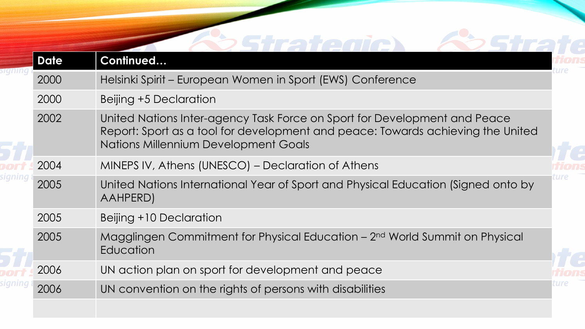| <b>Date</b> | Continued                                                                                                                                                                                            |  |
|-------------|------------------------------------------------------------------------------------------------------------------------------------------------------------------------------------------------------|--|
| 2000        | Helsinki Spirit - European Women in Sport (EWS) Conference                                                                                                                                           |  |
| 2000        | Beijing +5 Declaration                                                                                                                                                                               |  |
| 2002        | United Nations Inter-agency Task Force on Sport for Development and Peace<br>Report: Sport as a tool for development and peace: Towards achieving the United<br>Nations Millennium Development Goals |  |
| 2004        | MINEPS IV, Athens (UNESCO) – Declaration of Athens                                                                                                                                                   |  |
| 2005        | United Nations International Year of Sport and Physical Education (Signed onto by<br>AAHPERD)                                                                                                        |  |
| 2005        | Beijing +10 Declaration                                                                                                                                                                              |  |
| 2005        | Magglingen Commitment for Physical Education – 2 <sup>nd</sup> World Summit on Physical<br>Education                                                                                                 |  |
| 2006        | UN action plan on sport for development and peace                                                                                                                                                    |  |
| 2006        | UN convention on the rights of persons with disabilities                                                                                                                                             |  |
|             |                                                                                                                                                                                                      |  |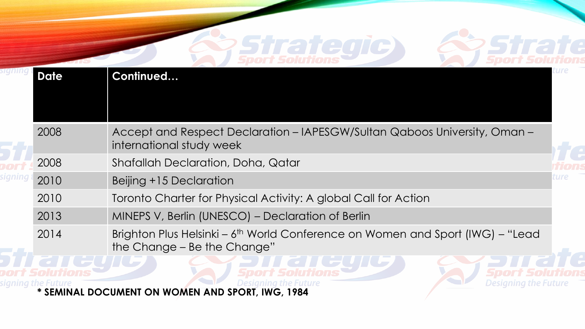## **Strategic**



| <b>Date</b>        | Continued                                                                                                                 |      |
|--------------------|---------------------------------------------------------------------------------------------------------------------------|------|
|                    |                                                                                                                           |      |
| 2008               | Accept and Respect Declaration - IAPESGW/Sultan Qaboos University, Oman -<br>international study week                     |      |
| 2008               | <b>Shafallah Declaration, Doha, Qatar</b>                                                                                 |      |
| 2010               | Beijing +15 Declaration                                                                                                   | ure: |
| 2010               | Toronto Charter for Physical Activity: A global Call for Action                                                           |      |
| 2013               | MINEPS V, Berlin (UNESCO) - Declaration of Berlin                                                                         |      |
| 2014               | Brighton Plus Helsinki – 6 <sup>th</sup> World Conference on Women and Sport (IWG) – "Lead<br>the Change – Be the Change" |      |
| signing the Future | Designing the Future<br>Jesigning the Future                                                                              |      |

**Signing the Future Future SEMINAL DOCUMENT ON WOMEN AND SPORT, IWG, 1984**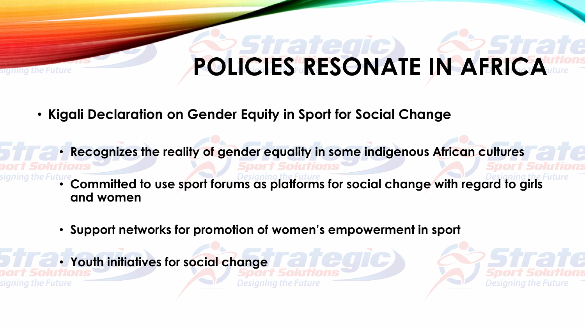## **POLICIES RESONATE IN AFRICA**

- **Kigali Declaration on Gender Equity in Sport for Social Change**
	- **Recognizes the reality of gender equality in some indigenous African cultures**
	- **Committed to use sport forums as platforms for social change with regard to girls and women**
		- **Support networks for promotion of women's empowerment in sport**
		- **Youth initiatives for social change**

gning the Future

the Future

**Designing the Future** 

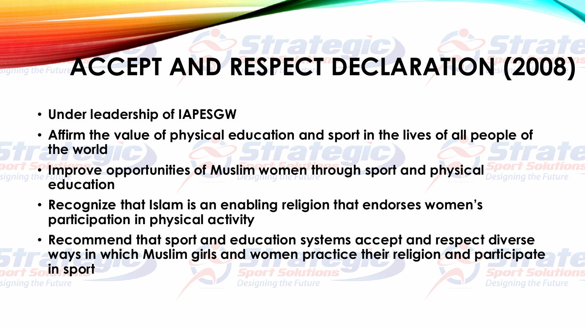#### **ACCEPT AND RESPECT DECLARATION (2008)**

- **Under leadership of IAPESGW**
- **Affirm the value of physical education and sport in the lives of all people of the world**
- **Improve opportunities of Muslim women through sport and physical education**
- **Recognize that Islam is an enabling religion that endorses women's participation in physical activity**
- **Recommend that sport and education systems accept and respect diverse ways in which Muslim girls and women practice their religion and participate in sport**

Designing the Future

Designing the Future